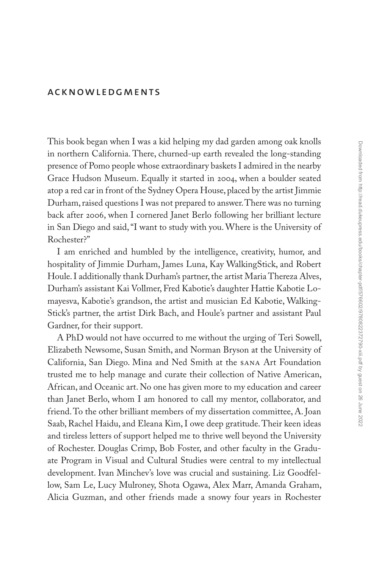This book began when I was a kid helping my dad garden among oak knolls in northern California. There, churned-up earth revealed the long-standing presence of Pomo people whose extraordinary baskets I admired in the nearby Grace Hudson Museum. Equally it started in 2004, when a boulder seated atop a red car in front of the Sydney Opera House, placed by the artist Jimmie Durham, raised questions I was not prepared to answer. There was no turning back after 2006, when I cornered Janet Berlo following her brilliant lecture in San Diego and said, "I want to study with you. Where is the University of Rochester?"

I am enriched and humbled by the intelligence, creativity, humor, and hospitality of Jimmie Durham, James Luna, Kay WalkingStick, and Robert Houle. I additionally thank Durham's partner, the artist Maria Thereza Alves, Durham's assistant Kai Vollmer, Fred Kabotie's daughter Hattie Kabotie Lomayesva, Kabotie's grandson, the artist and musician Ed Kabotie, Walking-Stick's partner, the artist Dirk Bach, and Houle's partner and assistant Paul Gardner, for their support.

A PhD would not have occurred to me without the urging of Teri Sowell, Elizabeth Newsome, Susan Smith, and Norman Bryson at the University of California, San Diego. Mina and Ned Smith at the sana Art Foundation trusted me to help manage and curate their collection of Native American, African, and Oceanic art. No one has given more to my education and career than Janet Berlo, whom I am honored to call my mentor, collaborator, and friend. To the other brilliant members of my dissertation committee, A. Joan Saab, Rachel Haidu, and Eleana Kim, I owe deep gratitude. Their keen ideas and tireless letters of support helped me to thrive well beyond the University of Rochester. Douglas Crimp, Bob Foster, and other faculty in the Graduate Program in Visual and Cultural Studies were central to my intellectual development. Ivan Minchev's love was crucial and sustaining. Liz Goodfellow, Sam Le, Lucy Mulroney, Shota Ogawa, Alex Marr, Amanda Graham, Alicia Guzman, and other friends made a snowy four years in Rochester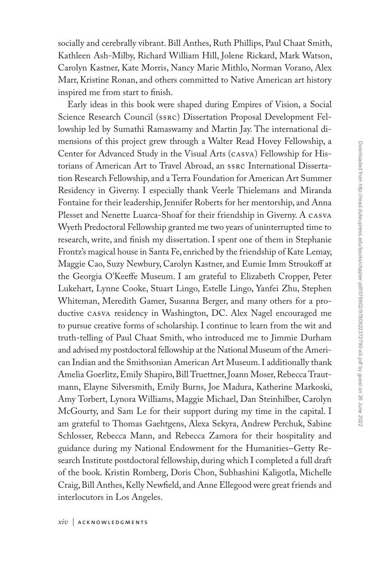socially and cerebrally vibrant. Bill Anthes, Ruth Phillips, Paul Chaat Smith, Kathleen Ash-Milby, Richard William Hill, Jolene Rickard, Mark Watson, Carolyn Kastner, Kate Morris, Nancy Marie Mithlo, Norman Vorano, Alex Marr, Kristine Ronan, and others committed to Native American art history inspired me from start to finish.

Early ideas in this book were shaped during Empires of Vision, a Social Science Research Council (ssrc) Dissertation Proposal Development Fellowship led by Sumathi Ramaswamy and Martin Jay. The international dimensions of this project grew through a Walter Read Hovey Fellowship, a Center for Advanced Study in the Visual Arts (casva) Fellowship for Historians of American Art to Travel Abroad, an ssrc International Dissertation Research Fellowship, and a Terra Foundation for American Art Summer Residency in Giverny. I especially thank Veerle Thielemans and Miranda Fontaine for their leadership, Jennifer Roberts for her mentorship, and Anna Plesset and Nenette Luarca-Shoaf for their friendship in Giverny. A casva Wyeth Predoctoral Fellowship granted me two years of uninterrupted time to research, write, and finish my dissertation. I spent one of them in Stephanie Frontz's magical house in Santa Fe, enriched by the friendship of Kate Lemay, Maggie Cao, Suzy Newbury, Carolyn Kastner, and Eumie Imm Stroukoff at the Georgia O'Keeffe Museum. I am grateful to Elizabeth Cropper, Peter Lukehart, Lynne Cooke, Stuart Lingo, Estelle Lingo, Yanfei Zhu, Stephen Whiteman, Meredith Gamer, Susanna Berger, and many others for a productive casva residency in Washington, DC. Alex Nagel encouraged me to pursue creative forms of scholarship. I continue to learn from the wit and truth-telling of Paul Chaat Smith, who introduced me to Jimmie Durham and advised my postdoctoral fellowship at the National Museum of the American Indian and the Smithsonian American Art Museum. I additionally thank Amelia Goerlitz, Emily Shapiro, Bill Truettner, Joann Moser, Rebecca Trautmann, Elayne Silversmith, Emily Burns, Joe Madura, Katherine Markoski, Amy Torbert, Lynora Williams, Maggie Michael, Dan Steinhilber, Carolyn McGourty, and Sam Le for their support during my time in the capital. I am grateful to Thomas Gaehtgens, Alexa Sekyra, Andrew Perchuk, Sabine Schlosser, Rebecca Mann, and Rebecca Zamora for their hospitality and guidance during my National Endowment for the Humanities–Getty Research Institute postdoctoral fellowship, during which I completed a full draft of the book. Kristin Romberg, Doris Chon, Subhashini Kaligotla, Michelle Craig, Bill Anthes, Kelly Newfield, and Anne Ellegood were great friends and interlocutors in Los Angeles.